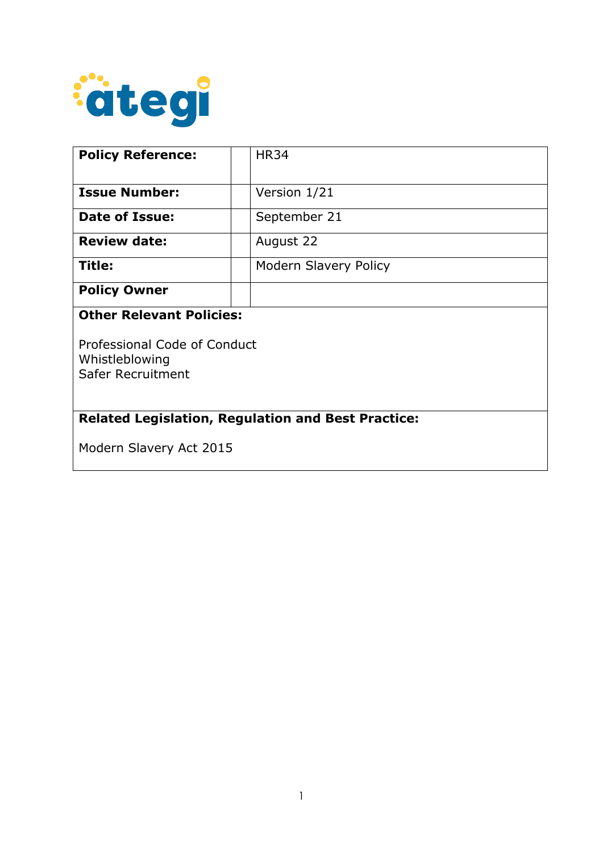

| <b>Policy Reference:</b>                                            | <b>HR34</b>                  |  |
|---------------------------------------------------------------------|------------------------------|--|
| <b>Issue Number:</b>                                                | Version 1/21                 |  |
| Date of Issue:                                                      | September 21                 |  |
| <b>Review date:</b>                                                 | August 22                    |  |
| Title:                                                              | <b>Modern Slavery Policy</b> |  |
| <b>Policy Owner</b>                                                 |                              |  |
| <b>Other Relevant Policies:</b>                                     |                              |  |
| Professional Code of Conduct<br>Whistleblowing<br>Safer Recruitment |                              |  |
| <b>Related Legislation, Regulation and Best Practice:</b>           |                              |  |
| Modern Slavery Act 2015                                             |                              |  |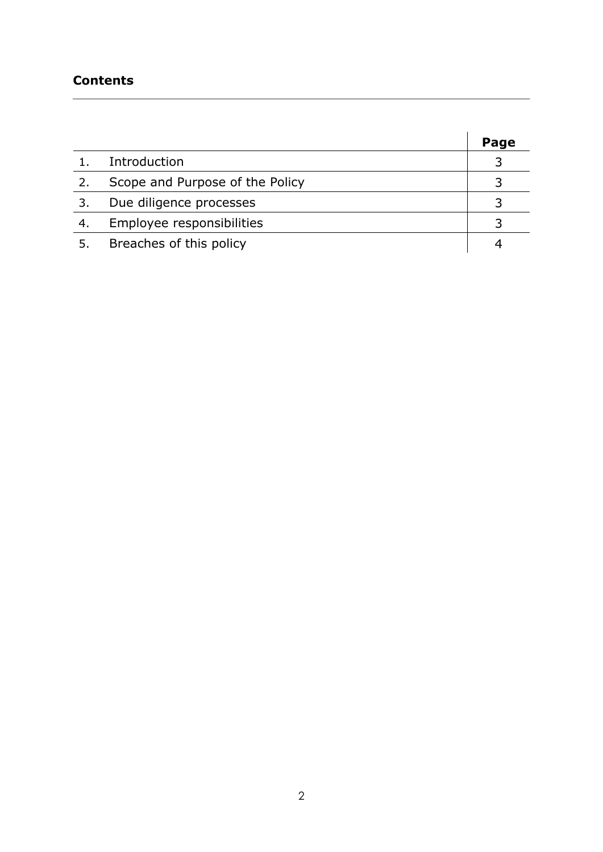## **Contents**

÷.

|     |                                 | Page |
|-----|---------------------------------|------|
|     | Introduction                    |      |
|     | Scope and Purpose of the Policy |      |
|     | Due diligence processes         |      |
| -4. | Employee responsibilities       |      |
|     | Breaches of this policy         |      |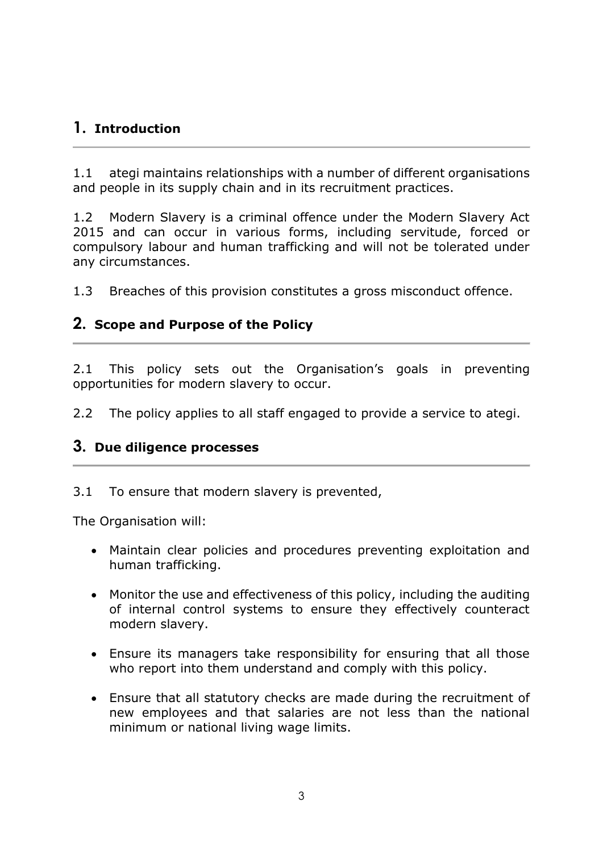# **1. Introduction**

1.1 ategi maintains relationships with a number of different organisations and people in its supply chain and in its recruitment practices.

1.2 Modern Slavery is a criminal offence under the Modern Slavery Act 2015 and can occur in various forms, including servitude, forced or compulsory labour and human trafficking and will not be tolerated under any circumstances.

1.3 Breaches of this provision constitutes a gross misconduct offence.

### **2. Scope and Purpose of the Policy**

2.1 This policy sets out the Organisation's goals in preventing opportunities for modern slavery to occur.

2.2 The policy applies to all staff engaged to provide a service to ategi.

#### **3. Due diligence processes**

3.1 To ensure that modern slavery is prevented,

The Organisation will:

- Maintain clear policies and procedures preventing exploitation and human trafficking.
- Monitor the use and effectiveness of this policy, including the auditing of internal control systems to ensure they effectively counteract modern slavery.
- Ensure its managers take responsibility for ensuring that all those who report into them understand and comply with this policy.
- Ensure that all statutory checks are made during the recruitment of new employees and that salaries are not less than the national minimum or national living wage limits.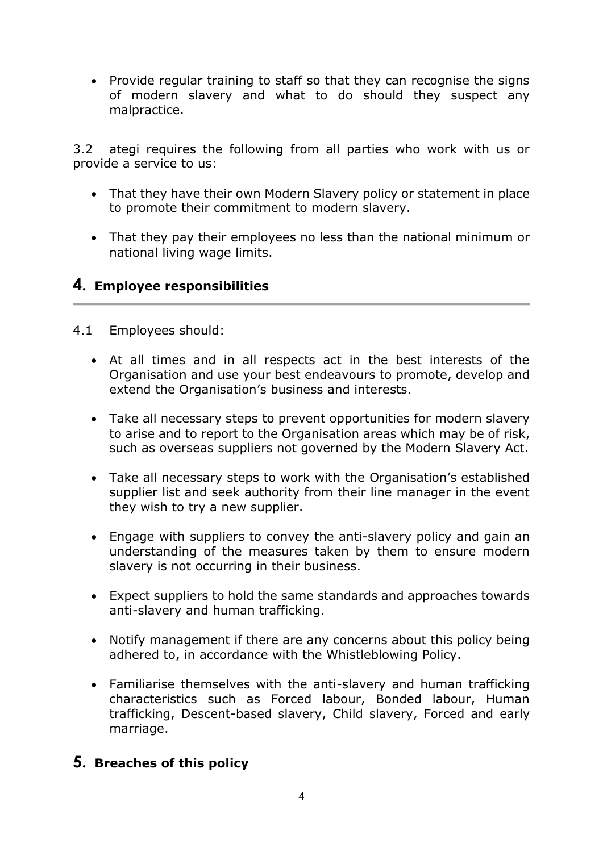• Provide regular training to staff so that they can recognise the signs of modern slavery and what to do should they suspect any malpractice.

3.2 ategi requires the following from all parties who work with us or provide a service to us:

- That they have their own Modern Slavery policy or statement in place to promote their commitment to modern slavery.
- That they pay their employees no less than the national minimum or national living wage limits.

## **4. Employee responsibilities**

- 4.1 Employees should:
	- At all times and in all respects act in the best interests of the Organisation and use your best endeavours to promote, develop and extend the Organisation's business and interests.
	- Take all necessary steps to prevent opportunities for modern slavery to arise and to report to the Organisation areas which may be of risk, such as overseas suppliers not governed by the Modern Slavery Act.
	- Take all necessary steps to work with the Organisation's established supplier list and seek authority from their line manager in the event they wish to try a new supplier.
	- Engage with suppliers to convey the anti-slavery policy and gain an understanding of the measures taken by them to ensure modern slavery is not occurring in their business.
	- Expect suppliers to hold the same standards and approaches towards anti-slavery and human trafficking.
	- Notify management if there are any concerns about this policy being adhered to, in accordance with the Whistleblowing Policy.
	- Familiarise themselves with the anti-slavery and human trafficking characteristics such as Forced labour, Bonded labour, Human trafficking, Descent-based slavery, Child slavery, Forced and early marriage.

## **5. Breaches of this policy**